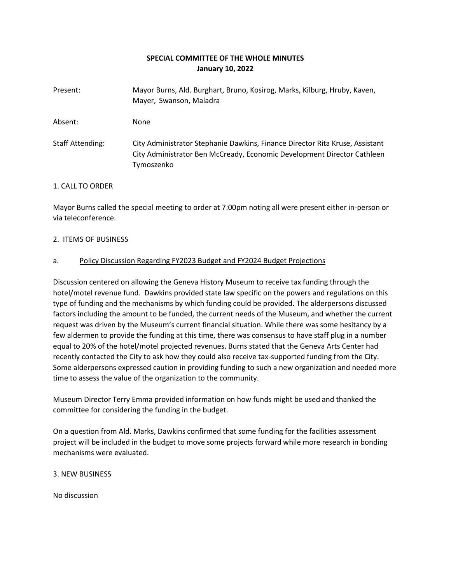# **SPECIAL COMMITTEE OF THE WHOLE MINUTES January 10, 2022**

| Present:                | Mayor Burns, Ald. Burghart, Bruno, Kosirog, Marks, Kilburg, Hruby, Kaven,<br>Mayer, Swanson, Maladra                                                                  |
|-------------------------|-----------------------------------------------------------------------------------------------------------------------------------------------------------------------|
| Absent:                 | <b>None</b>                                                                                                                                                           |
| <b>Staff Attending:</b> | City Administrator Stephanie Dawkins, Finance Director Rita Kruse, Assistant<br>City Administrator Ben McCready, Economic Development Director Cathleen<br>Tymoszenko |

### 1. CALL TO ORDER

Mayor Burns called the special meeting to order at 7:00pm noting all were present either in-person or via teleconference.

### 2. ITEMS OF BUSINESS

## a. Policy Discussion Regarding FY2023 Budget and FY2024 Budget Projections

Discussion centered on allowing the Geneva History Museum to receive tax funding through the hotel/motel revenue fund. Dawkins provided state law specific on the powers and regulations on this type of funding and the mechanisms by which funding could be provided. The alderpersons discussed factors including the amount to be funded, the current needs of the Museum, and whether the current request was driven by the Museum's current financial situation. While there was some hesitancy by a few aldermen to provide the funding at this time, there was consensus to have staff plug in a number equal to 20% of the hotel/motel projected revenues. Burns stated that the Geneva Arts Center had recently contacted the City to ask how they could also receive tax-supported funding from the City. Some alderpersons expressed caution in providing funding to such a new organization and needed more time to assess the value of the organization to the community.

Museum Director Terry Emma provided information on how funds might be used and thanked the committee for considering the funding in the budget.

On a question from Ald. Marks, Dawkins confirmed that some funding for the facilities assessment project will be included in the budget to move some projects forward while more research in bonding mechanisms were evaluated.

### 3. NEW BUSINESS

No discussion